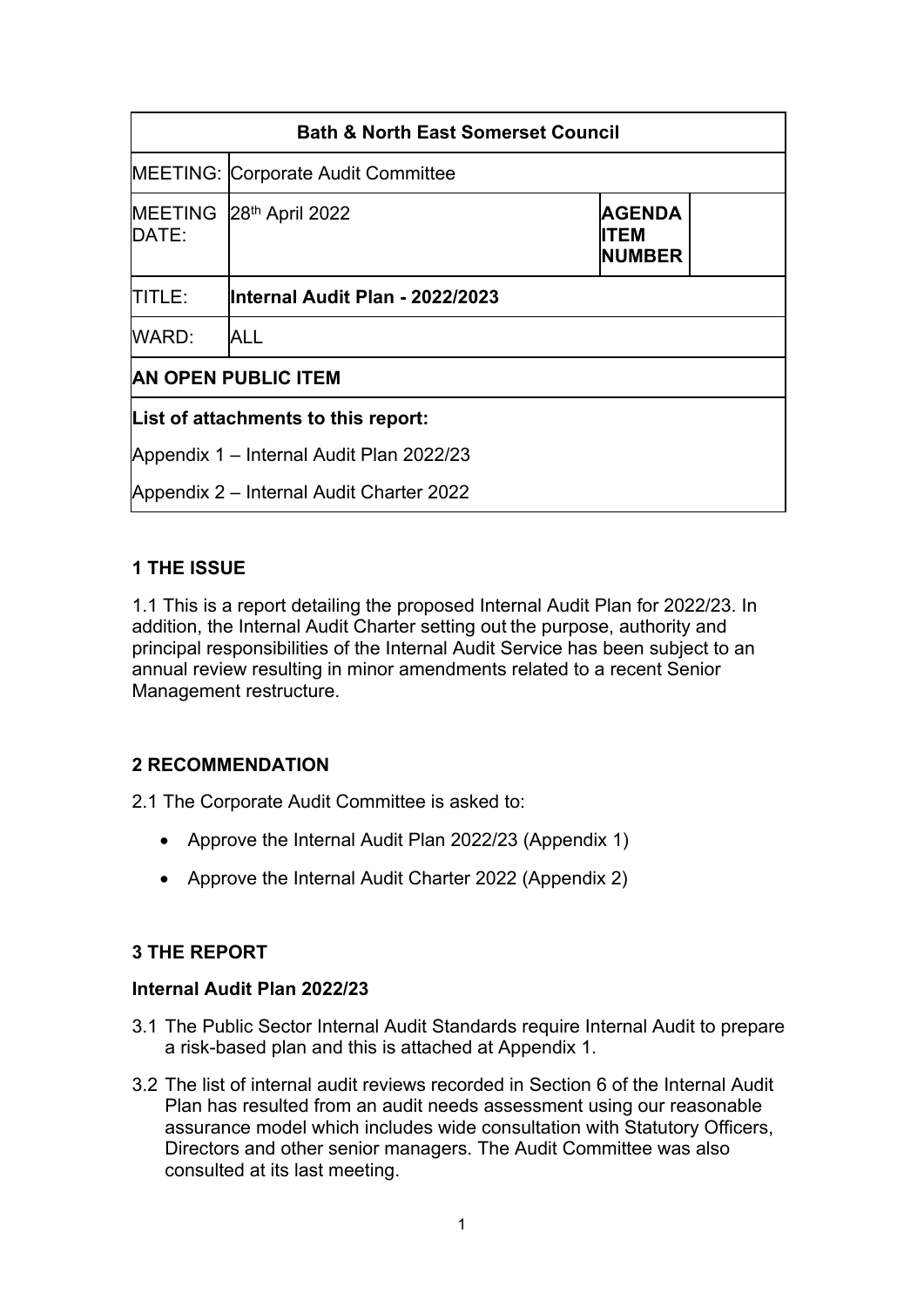| <b>Bath &amp; North East Somerset Council</b> |                                           |                                               |  |
|-----------------------------------------------|-------------------------------------------|-----------------------------------------------|--|
|                                               | <b>MEETING: Corporate Audit Committee</b> |                                               |  |
| <b>MEETING</b><br><b>IDATE:</b>               | 28th April 2022                           | <b>AGENDA</b><br><b>ITEM</b><br><b>NUMBER</b> |  |
| ITITLE:                                       | lInternal Audit Plan - 2022/2023          |                                               |  |
| WARD:                                         | <b>ALL</b>                                |                                               |  |
| <b>AN OPEN PUBLIC ITEM</b>                    |                                           |                                               |  |
| List of attachments to this report:           |                                           |                                               |  |
| Appendix 1 – Internal Audit Plan 2022/23      |                                           |                                               |  |
| Appendix 2 - Internal Audit Charter 2022      |                                           |                                               |  |

## **1 THE ISSUE**

1.1 This is a report detailing the proposed Internal Audit Plan for 2022/23. In addition, the Internal Audit Charter setting out the purpose, authority and principal responsibilities of the Internal Audit Service has been subject to an annual review resulting in minor amendments related to a recent Senior Management restructure.

## **2 RECOMMENDATION**

2.1 The Corporate Audit Committee is asked to:

- Approve the Internal Audit Plan 2022/23 (Appendix 1)
- Approve the Internal Audit Charter 2022 (Appendix 2)

## **3 THE REPORT**

## **Internal Audit Plan 2022/23**

- 3.1 The Public Sector Internal Audit Standards require Internal Audit to prepare a risk-based plan and this is attached at Appendix 1.
- 3.2 The list of internal audit reviews recorded in Section 6 of the Internal Audit Plan has resulted from an audit needs assessment using our reasonable assurance model which includes wide consultation with Statutory Officers, Directors and other senior managers. The Audit Committee was also consulted at its last meeting.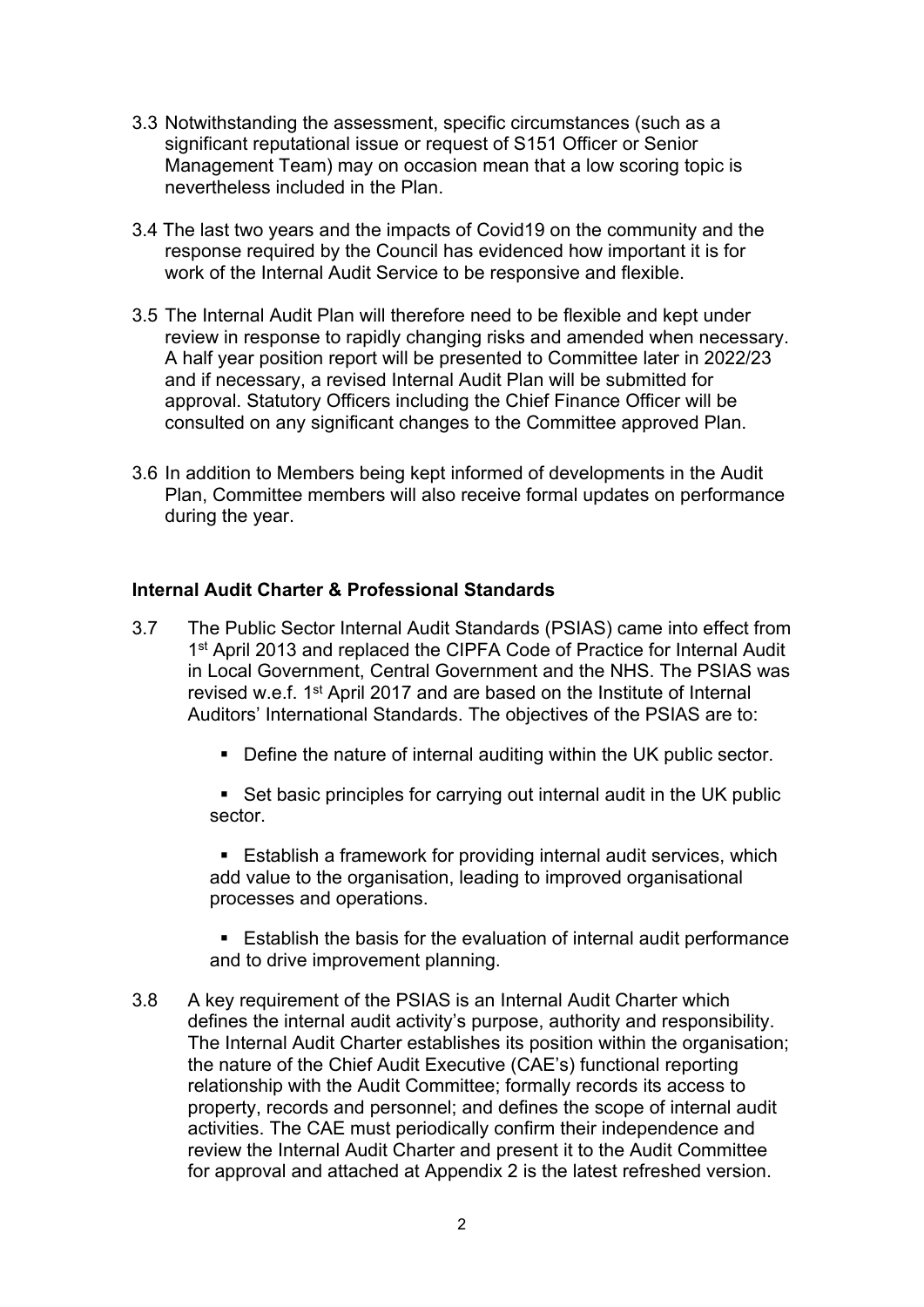- 3.3 Notwithstanding the assessment, specific circumstances (such as a significant reputational issue or request of S151 Officer or Senior Management Team) may on occasion mean that a low scoring topic is nevertheless included in the Plan.
- 3.4 The last two years and the impacts of Covid19 on the community and the response required by the Council has evidenced how important it is for work of the Internal Audit Service to be responsive and flexible.
- 3.5 The Internal Audit Plan will therefore need to be flexible and kept under review in response to rapidly changing risks and amended when necessary. A half year position report will be presented to Committee later in 2022/23 and if necessary, a revised Internal Audit Plan will be submitted for approval. Statutory Officers including the Chief Finance Officer will be consulted on any significant changes to the Committee approved Plan.
- 3.6 In addition to Members being kept informed of developments in the Audit Plan, Committee members will also receive formal updates on performance during the year.

## **Internal Audit Charter & Professional Standards**

- 3.7 The Public Sector Internal Audit Standards (PSIAS) came into effect from 1<sup>st</sup> April 2013 and replaced the CIPFA Code of Practice for Internal Audit in Local Government, Central Government and the NHS. The PSIAS was revised w.e.f. 1<sup>st</sup> April 2017 and are based on the Institute of Internal Auditors' International Standards. The objectives of the PSIAS are to:
	- **Define the nature of internal auditing within the UK public sector.**

■ Set basic principles for carrying out internal audit in the UK public sector.

**Establish a framework for providing internal audit services, which** add value to the organisation, leading to improved organisational processes and operations.

**Establish the basis for the evaluation of internal audit performance** and to drive improvement planning.

3.8 A key requirement of the PSIAS is an Internal Audit Charter which defines the internal audit activity's purpose, authority and responsibility. The Internal Audit Charter establishes its position within the organisation; the nature of the Chief Audit Executive (CAE's) functional reporting relationship with the Audit Committee; formally records its access to property, records and personnel; and defines the scope of internal audit activities. The CAE must periodically confirm their independence and review the Internal Audit Charter and present it to the Audit Committee for approval and attached at Appendix 2 is the latest refreshed version.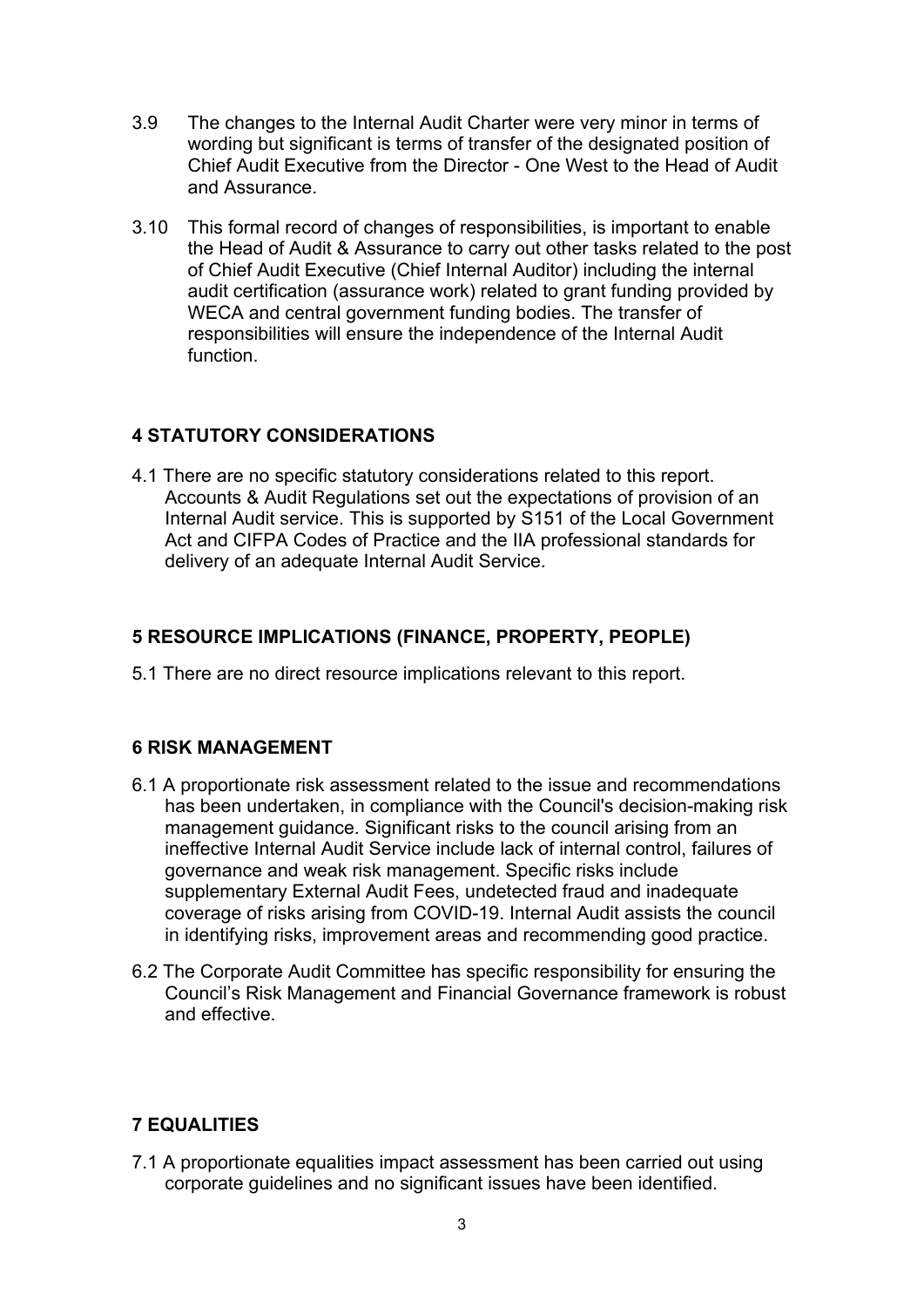- 3.9 The changes to the Internal Audit Charter were very minor in terms of wording but significant is terms of transfer of the designated position of Chief Audit Executive from the Director - One West to the Head of Audit and Assurance.
- 3.10 This formal record of changes of responsibilities, is important to enable the Head of Audit & Assurance to carry out other tasks related to the post of Chief Audit Executive (Chief Internal Auditor) including the internal audit certification (assurance work) related to grant funding provided by WECA and central government funding bodies. The transfer of responsibilities will ensure the independence of the Internal Audit function.

## **4 STATUTORY CONSIDERATIONS**

4.1 There are no specific statutory considerations related to this report. Accounts & Audit Regulations set out the expectations of provision of an Internal Audit service. This is supported by S151 of the Local Government Act and CIFPA Codes of Practice and the IIA professional standards for delivery of an adequate Internal Audit Service.

## **5 RESOURCE IMPLICATIONS (FINANCE, PROPERTY, PEOPLE)**

5.1 There are no direct resource implications relevant to this report.

## **6 RISK MANAGEMENT**

- 6.1 A proportionate risk assessment related to the issue and recommendations has been undertaken, in compliance with the Council's decision-making risk management guidance. Significant risks to the council arising from an ineffective Internal Audit Service include lack of internal control, failures of governance and weak risk management. Specific risks include supplementary External Audit Fees, undetected fraud and inadequate coverage of risks arising from COVID-19. Internal Audit assists the council in identifying risks, improvement areas and recommending good practice.
- 6.2 The Corporate Audit Committee has specific responsibility for ensuring the Council's Risk Management and Financial Governance framework is robust and effective.

# **7 EQUALITIES**

7.1 A proportionate equalities impact assessment has been carried out using corporate guidelines and no significant issues have been identified.